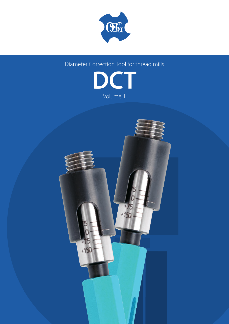

Diameter Correction Tool for thread mills



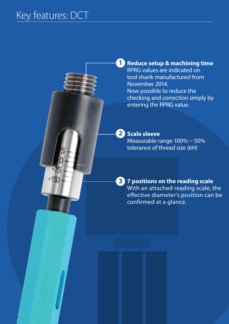$+150$ 

**2**

**1** Reduce setup & machining time RPRG values are indicated on tool shank manufactured from November 2014. Now possible to reduce the checking and correction simply by entering the RPRG value.

### 2 Scale sleeve

Measurable range 100% ~ 50% tolerance of thread size (6H)

**7 positions on the reading scale 3** With an attached reading scale, the effective diameter's position can be confirmed at a glance.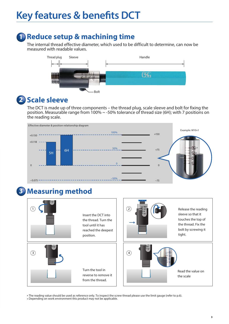## **Key features & benefits DCT**

### **1 Reduce setup & machining time**

The internal thread effective diameter, which used to be difficult to determine, can now be measured with readable values.



## **2** Scale sleeve

The DCT is made up of three components – the thread plug, scale sleeve and bolt for fixing the position. Measurable range from 100% ~ -50% tolerance of thread size (6H); with 7 positions on the reading scale.



#### **Measuring method 3**



\* The reading value should be used as reference only. To inspect the screw thread please use the limit gauge (refer to p.6).

\* Depending on work environment this product may not be applicable.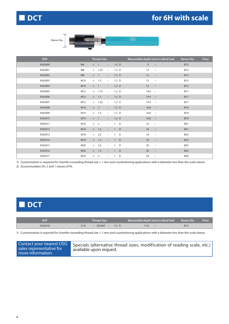### **for 6H with scale**



Sleeve Dia. **With the Company of the Company of the Company of the Company of the Company of the Company of the Company of the Company of the Company of the Company of the Company of the Company of the Company of the Compa** 

 $\mathfrak{E}$ 

| EDP     |                |            | <b>Thread Size</b> |                          |                  |         | Measurable depth (mm) in blind hole | Sleeve Dia. | Price |
|---------|----------------|------------|--------------------|--------------------------|------------------|---------|-------------------------------------|-------------|-------|
| 9342000 | M <sub>6</sub> | $\times$ 1 |                    | $\qquad \qquad -$        | $1.5\quad D$     | 9       | $\thicksim$                         | Ø13         |       |
| 9342001 | M8             |            | $\times$ 1.25      | $\overline{\phantom{a}}$ | $1.5\quad D$     | 12      | $\sim$                              | Ø13         |       |
| 9342002 | M <sub>8</sub> | $\times$ 1 |                    | $\sim$                   | $1.5\quad D$     | 12      | $\thicksim$                         | Ø13         |       |
| 9342003 | M10            |            | $\times$ 1.5       | $\overline{\phantom{0}}$ | 1.2 <sub>D</sub> | 12      | $\sim$                              | Ø15         |       |
| 9342004 | M10            |            | $\times$ 1         | $ \,$                    | 1.2 <sub>D</sub> | 12      | $\sim$                              | Ø15         |       |
| 9342005 | M12            |            | $\times$ 1.75      | $\overline{\phantom{a}}$ | 1.2 <sub>D</sub> |         | $14.4 -$                            | Ø17         |       |
| 9342006 | M12            |            | $\times$ 1.5       | $\overline{\phantom{a}}$ | 1.2 <sub>D</sub> |         | $14.4 -$                            | Ø17         |       |
| 9342007 | M12            |            | $\times$ 1.25      | $\overline{\phantom{0}}$ | 1.2 <sub>D</sub> |         | $14.4 -$                            | Ø17         |       |
| 9342008 | M14            |            | $\times$ 2         | $-$                      | 1.2 <sub>D</sub> |         | 16.8 $\sim$                         | Ø19         |       |
| 9342009 | M14            |            | $\times$ 1.5       | $\overline{\phantom{a}}$ | 1.2 <sub>D</sub> |         | 16.8 $\sim$                         | Ø19         |       |
| 9342010 | M14            | $\times$ 1 |                    | $\overline{\phantom{0}}$ | 1.2 <sub>D</sub> | 16.8    | $\thicksim$                         | Ø19         |       |
| 9342011 | M16            |            | $\times$ 2         | $\overline{\phantom{0}}$ | $1$ D            | 16      | $\sim$                              | Ø21         |       |
| 9342012 | M16            |            | $\times$ 1.5       | $\overline{\phantom{0}}$ | $\blacksquare$   | D<br>16 | $\sim$                              | Ø21         |       |
| 9342013 | M18            |            | $\times$ 2.5       | $\overline{\phantom{0}}$ | $\overline{1}$   | 18<br>D | $\sim$                              | Ø23         |       |
| 9342014 | M18            |            | $\times$ 1.5       | $\overline{\phantom{0}}$ | $\mathbf{1}$     | 18<br>D | $\sim$                              | Ø23         |       |
| 9342015 | M20            |            | $\times$ 2.5       | $\qquad \qquad -$        | $\overline{1}$   | 20<br>D | $\thicksim$                         | Ø25         |       |
| 9342016 | M20            |            | $\times$ 1.5       |                          | $\mathbf{1}$     | D<br>20 | $\sim$                              | Ø25         |       |
| 9342017 | M24            |            | $\times$ 3         | $\overline{\phantom{a}}$ | 1                | D<br>24 | $\thicksim$                         | Ø29         |       |

1) Customization is required for chamfer exceeding thread size + 1 mm and counterboring applications with a diameter less than the scale sleeve.

2) Accommodates 5H, 2 and 1 classes of fit.

### **■ DCT**

| <b>EDP</b> | Thread Size                     | Measurable depth $(mm)$ in blind hole Sleeve Dia. | <b>Price</b> |
|------------|---------------------------------|---------------------------------------------------|--------------|
| 9342018    | – 24UNJF –<br>5/16<br>$1.5\,$ D | $\sim$                                            | Ø1           |

1) Customization is required for chamfer exceeding thread size + 1 mm and counterboring applications with a diameter less than the scale sleeve.

| Contact your nearest OSG<br>sales representative for<br>more information. | Specials (alternative thread sizes, modification of reading scale, etc.)<br>available upon request. |
|---------------------------------------------------------------------------|-----------------------------------------------------------------------------------------------------|
|---------------------------------------------------------------------------|-----------------------------------------------------------------------------------------------------|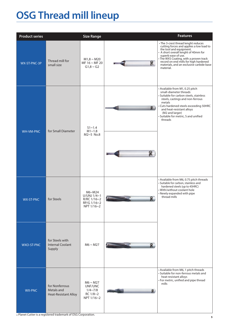# **OSG Thread mill lineup**

| <b>Product series</b> |                                                             | <b>Size Range</b>                                                    |                                                           | <b>Features</b>                                                                                                                                                                                                                                                                                                     |
|-----------------------|-------------------------------------------------------------|----------------------------------------------------------------------|-----------------------------------------------------------|---------------------------------------------------------------------------------------------------------------------------------------------------------------------------------------------------------------------------------------------------------------------------------------------------------------------|
| WX-ST-PNC-3P          | Thread mill for<br>small size                               | $M1,8 \sim M20$<br>MF $16 \sim MF 20$<br>$G1,8 \sim G2$              | B                                                         | • The 3-crest thread lenght reduces<br>cutting forces and applies a low load to<br>the tool and equipment.<br>A short overall lenght of 40mm for<br>superb ease of use.<br>• The WXS Coating, with a proven track<br>record on end mills for high hardened<br>materials, and an exclusive carbide base<br>material. |
| <b>WH-VM-PNC</b>      | for Small Diameter                                          | $S1 - 1.4$<br>$M1 \sim 1.8$<br>$M2~5$ No.8                           | $\mathbb{R}$<br>B                                         | • Available from M1, 0.25 pitch<br>small-diameter threads<br>· Suitable for carbon steels, stainless<br>steels, castings and non-ferrous<br>metals<br>• Cuts hardened steels exceeding 50HRC<br>and heat-resistant alloys<br>(M2 and larger)<br>· Suitable for metric, S and unified<br>threads                     |
| <b>WX-ST-PNC</b>      | for Steels                                                  | M6~M24<br>U/UNJ $1/4$ ~1<br>R/RC 1/16~2<br>RP/G 1/16~2<br>NPT 1/16~2 | <u>נות וניני ייני ש</u><br>$^{\circ}$<br><b>Tungummmm</b> | • Available from M6, 0.75 pitch threads<br>• Suitable for carbon, stainless and<br>hardened steels (up to 45HRC)<br>• With/without coolant hole<br>• Newly expanded with pipe<br>thread mills                                                                                                                       |
| <b>WXO-ST-PNC</b>     | for Steels with<br><b>Internal Coolant</b><br>Supply        | $M6 \sim M27$                                                        | $\cdot$ . The component component $\cdot$<br>$\mathbb{R}$ |                                                                                                                                                                                                                                                                                                                     |
| <b>WX-PNC</b>         | for Nonferrous<br>Metals and<br><b>Heat-Resistant Alloy</b> | $M6 \sim M27$<br>UNF/UNC<br>$1/4 \sim 7/8$<br>RC 1/8~2<br>NPT 1/16~2 | $\mathbb{R}$                                              | • Available from M6, 1 pitch threads<br>• Suitable for non-ferrous metals and<br>heat-resistant alloys<br>• For metric, unified and pipe thread<br>mills                                                                                                                                                            |

\* Planet Cutter is a registered trademark of OSG Corporation.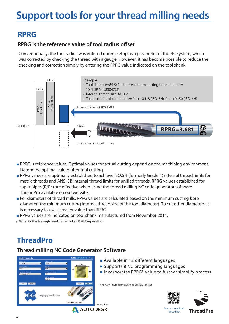# **Support tools for your thread milling needs**

### **RPRG**

### **RPRG is the reference value of tool radius offset**

Conventionally, the tool radius was entered during setup as a parameter of the NC system, which was corrected by checking the thread with a gauge. However, it has become possible to reduce the checking and correction simply by entering the RPRG value indicated on the tool shank.



- RPRG is reference values. Optimal values for actual cutting depend on the machining environment. Determine optimal values after trial cutting.
- RPRG values are optimally established to achieve ISO:5H (formerly Grade 1) internal thread limits for metric threads and ANSI:3B internal thread limits for unified threads. RPRG values established for taper pipes (R/Rc) are effective when using the thread milling NC code generator software ThreadPro available on our website.
- For diameters of thread mills, RPRG values are calculated based on the minimum cutting bore diameter (the minimum cutting internal thread size of the tool diameter). To cut other diameters, it is necessary to use a smaller value than RPRG.
- RPRG values are indicated on tool shank manufactured from November 2014.
- \* Planet Cutter is a registered trademark of OSG Corporation.

## **ThreadPro**

### **Thread milling NC Code Generator Software**



- Available in 12 different languages
- Supports 8 NC programming languages
- Incorporates RPRG<sup>\*</sup> value to further simplify process

\* RPRG = reference value of tool radius offset





**6**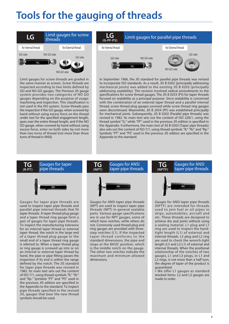# **Tools for the gauging of threads**

| LG                  | threads    | Limit gauges for screw |
|---------------------|------------|------------------------|
| for Internal thread |            | for External thread    |
| GO side<br>(96)     | NO GO side | GO side<br>NO GO side  |

Limit gauges for screw threads are graded in the same manner as screws. Screw threads are inspected according to two limits defined by GO and NO GO gauges. The Previous JIS gauge system provides two categories of NO GO gauges depending on the purpose of usage: machining and inspection. This classification is not used in the ISO system. Screw threads pass the inspection if the GO gauge, when screwed by hand without using excess force on the thread under test for the specified engagement length, goes over the entire thread length, and if the NO GO gauge, when screwed by hand without using excess force, enter on both sides by not more than two turns of thread (not more than three turns of thread in ANSI).



In September 1966, the JIS standard for parallel pipe threads was revised to incorporate ISO standards. As a result, JIS B 0202 (principally addressing mechanical joints) was added to the existing JIS B 0203 (principally addressing sealability). The revision involved radical amendments to the specifications for screw thread gauges. The JIS B 0253 (PS) for taper threads focused on sealability as a principal purpose. Since sealability is concerned with the combination of an external taper thread and a parallel internal thread, screw thread plug gauges survived while screw thread ring gauges were discontinued. Meanwhile, JIS B 2054 (PF) was established principally for mechanical joints. Subsequently, JIS B 0202 (Parallel pipe threads) was revised in 1982. Its main text sets out the content of ISO 228/1, using the thread symbol "G," while "PF" used in the previous JIS edition is specified in the Appendix. Furthermore, the main text of JIS B 0203 (Taper pipe threads) also sets out the content of ISO 7/1, using thread symbols "R," "Rc" and "Rp." Symbols "PT" and "PS" used in the previous JIS edition are specified in the Appendix to the standard.

#### **TG (R·PT)**

## Gauges for taper pipe threads **TG**



Gauges for taper pipe threads are used to inspect taper pipe threads and parallel pipe internal threads that fit taper threads. A taper thread plug gauge and a taper thread ring gauge form a pair of gauges for taper pipe threads. To inspect the manufacturing tolerance for an internal taper thread or external taper thread, the notch in the large end of a taper thread plug gauge or the small end of a taper thread ring gauge is referred to. When a taper thread plug or ring gauge is screwed up into or on an internal or external taper thread by hand, the pipe or pipe fitting passes the inspection if its end is within the range defined by the notch. The JIS standard for taper pipe threads was revised in 1982. Its main text sets out the content of ISO 7/1, using thread symbols "R," "Rc" and "Rp." Symbols "PT" and "PS" used in the previous JIS edition are specified in the Appendix to the standard. To inspect pipe threads specified in the revised JIS, gauges that bear the new thread symbols should be used.

#### **(NPT)** Gauges for ANSI Gauges for ANSI<br>taper pipe threads **TG**



Gauges for ANSI taper pipe threads (NPT) are used to inspect taper pipe threads (NPT) in general sealable parts. Various gauge specifications are in use for NPT gauges, some of which have notches, while others do not. Commonly used thread plug and ring gauges are provided with threestep notches (L1). If the inspected taper thread conforms to the standard dimensions, the pipe end stops at the BASIC position, which is the middle notch on the gauge. The other two notches indicate the maximum and minimum allowed dimensions.

#### **(NPTF)** Gauges for ANSI taper pipe threads



Gauges for ANSI taper pipe threads (NPTF) are intended for threads used to join fuel or oil pipes in ships, automobiles, aircraft and etc. These threads are designed to achieve dry seal joints without using a sealing material. L1 plug and L1 ring are used to inspect the handtight length (L1) of external and internal threads. L3 plug and L2 ring are used to check the wrench-tight length (L3 and L2-L1) of external and internal threads. When the positional relationship of the notches of two gauges, L1 and L3 plugs, or L1 and L2 rings, is not more than a half turn, the degree of taper of the product is guaranteed.

\* We offer L1 gauges as standard stocked items. L2 and L3 gauges are made to order.